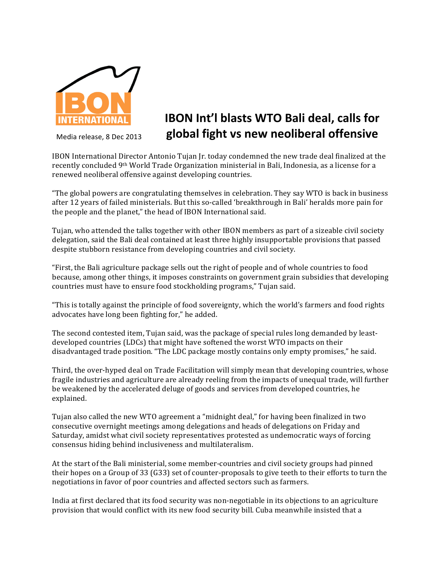

## **IBON Int'l blasts WTO Bali deal, calls for** Media release, 8 Dec 2013 **global fight vs new neoliberal offensive**

IBON International Director Antonio Tujan Ir. today condemned the new trade deal finalized at the recently concluded 9<sup>th</sup> World Trade Organization ministerial in Bali, Indonesia, as a license for a renewed neoliberal offensive against developing countries.

"The global powers are congratulating themselves in celebration. They say WTO is back in business after 12 years of failed ministerials. But this so-called 'breakthrough in Bali' heralds more pain for the people and the planet," the head of IBON International said.

Tujan, who attended the talks together with other IBON members as part of a sizeable civil society delegation, said the Bali deal contained at least three highly insupportable provisions that passed despite stubborn resistance from developing countries and civil society.

"First, the Bali agriculture package sells out the right of people and of whole countries to food because, among other things, it imposes constraints on government grain subsidies that developing countries must have to ensure food stockholding programs," Tujan said.

"This is totally against the principle of food sovereignty, which the world's farmers and food rights advocates have long been fighting for," he added.

The second contested item, Tujan said, was the package of special rules long demanded by leastdeveloped countries (LDCs) that might have softened the worst WTO impacts on their disadvantaged trade position. "The LDC package mostly contains only empty promises," he said.

Third, the over-hyped deal on Trade Facilitation will simply mean that developing countries, whose fragile industries and agriculture are already reeling from the impacts of unequal trade, will further be weakened by the accelerated deluge of goods and services from developed countries, he explained.

Tujan also called the new WTO agreement a "midnight deal," for having been finalized in two consecutive overnight meetings among delegations and heads of delegations on Friday and Saturday, amidst what civil society representatives protested as undemocratic ways of forcing consensus hiding behind inclusiveness and multilateralism.

At the start of the Bali ministerial, some member-countries and civil society groups had pinned their hopes on a Group of 33 (G33) set of counter-proposals to give teeth to their efforts to turn the negotiations in favor of poor countries and affected sectors such as farmers.

India at first declared that its food security was non-negotiable in its objections to an agriculture provision that would conflict with its new food security bill. Cuba meanwhile insisted that a